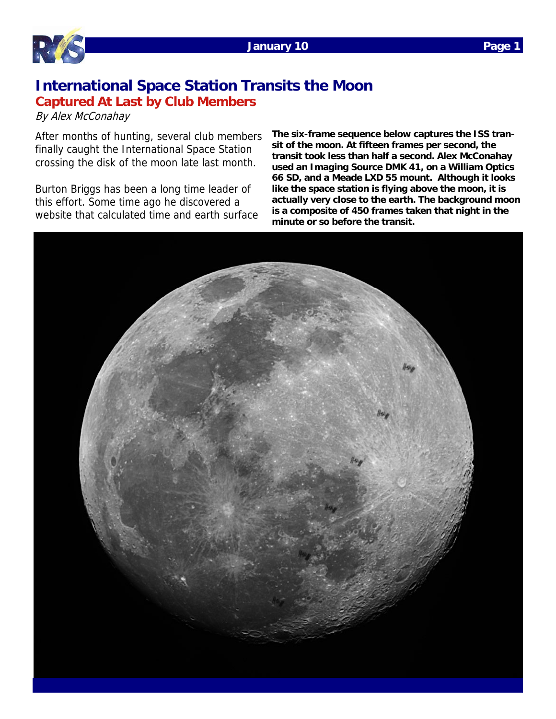

## **International Space Station Transits the Moon Captured At Last by Club Members**

By Alex McConahay

After months of hunting, several club members finally caught the International Space Station crossing the disk of the moon late last month.

Burton Briggs has been a long time leader of this effort. Some time ago he discovered a website that calculated time and earth surface **The six-frame sequence below captures the ISS transit of the moon. At fifteen frames per second, the transit took less than half a second. Alex McConahay used an Imaging Source DMK 41, on a William Optics 66 SD, and a Meade LXD 55 mount. Although it looks like the space station is flying above the moon, it is actually very close to the earth. The background moon is a composite of 450 frames taken that night in the minute or so before the transit.** 

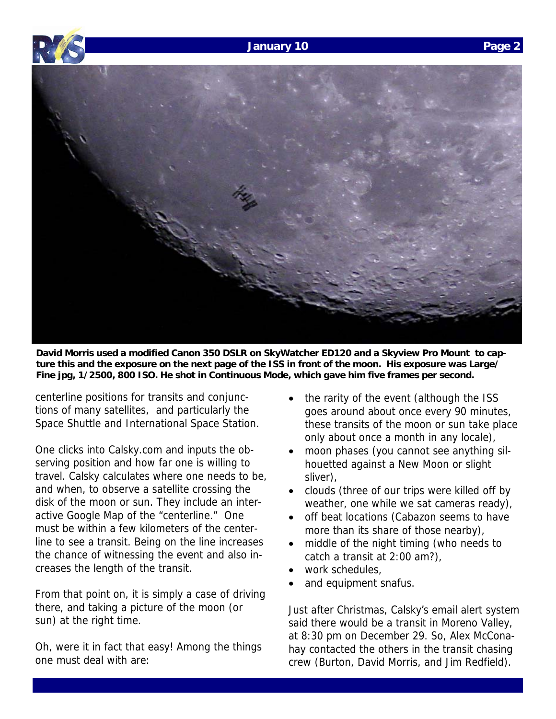





**David Morris used a modified Canon 350 DSLR on SkyWatcher ED120 and a Skyview Pro Mount to capture this and the exposure on the next page of the ISS in front of the moon. His exposure was Large/ Fine jpg, 1/2500, 800 ISO. He shot in Continuous Mode, which gave him five frames per second.** 

centerline positions for transits and conjunctions of many satellites, and particularly the Space Shuttle and International Space Station.

One clicks into Calsky.com and inputs the observing position and how far one is willing to travel. Calsky calculates where one needs to be, and when, to observe a satellite crossing the disk of the moon or sun. They include an interactive Google Map of the "centerline." One must be within a few kilometers of the centerline to see a transit. Being on the line increases the chance of witnessing the event and also increases the length of the transit.

From that point on, it is simply a case of driving there, and taking a picture of the moon (or sun) at the right time.

Oh, were it in fact that easy! Among the things one must deal with are:

- the rarity of the event (although the ISS goes around about once every 90 minutes, these transits of the moon or sun take place only about once a month in any locale),
- moon phases (you cannot see anything silhouetted against a New Moon or slight sliver),
- clouds (three of our trips were killed off by weather, one while we sat cameras ready),
- off beat locations (Cabazon seems to have more than its share of those nearby),
- middle of the night timing (who needs to catch a transit at 2:00 am?),
- work schedules,
- and equipment snafus.

Just after Christmas, Calsky's email alert system said there would be a transit in Moreno Valley, at 8:30 pm on December 29. So, Alex McConahay contacted the others in the transit chasing crew (Burton, David Morris, and Jim Redfield).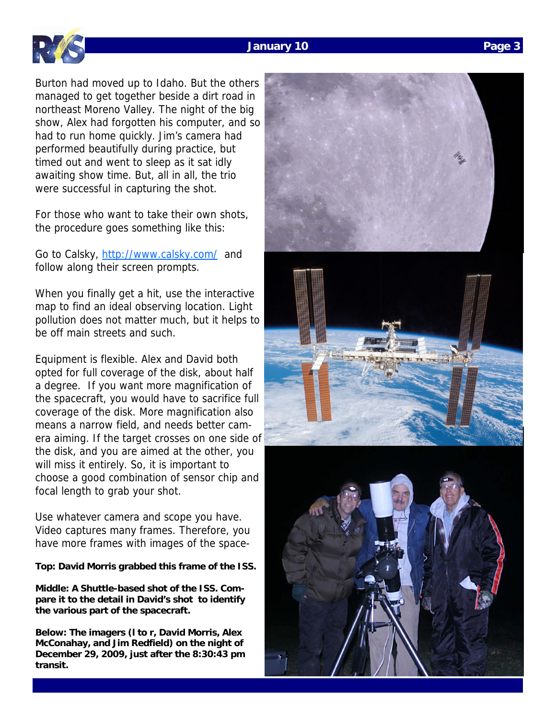## **January 10 Page 3**



Burton had moved up to Idaho. But the others managed to get together beside a dirt road in northeast Moreno Valley. The night of the big show, Alex had forgotten his computer, and so had to run home quickly. Jim's camera had performed beautifully during practice, but timed out and went to sleep as it sat idly awaiting show time. But, all in all, the trio were successful in capturing the shot.

For those who want to take their own shots, the procedure goes something like this:

Go to Calsky, http://www.calsky.com/ and follow along their screen prompts.

When you finally get a hit, use the interactive map to find an ideal observing location. Light pollution does not matter much, but it helps to be off main streets and such.

Equipment is flexible. Alex and David both opted for full coverage of the disk, about half a degree. If you want more magnification of the spacecraft, you would have to sacrifice full coverage of the disk. More magnification also means a narrow field, and needs better camera aiming. If the target crosses on one side of the disk, and you are aimed at the other, you will miss it entirely. So, it is important to choose a good combination of sensor chip and focal length to grab your shot.

Use whatever camera and scope you have. Video captures many frames. Therefore, you have more frames with images of the space-

## **Top: David Morris grabbed this frame of the ISS.**

**Middle: A Shuttle-based shot of the ISS. Compare it to the detail in David's shot to identify the various part of the spacecraft.** 

**Below: The imagers (l to r, David Morris, Alex McConahay, and Jim Redfield) on the night of December 29, 2009, just after the 8:30:43 pm transit.**